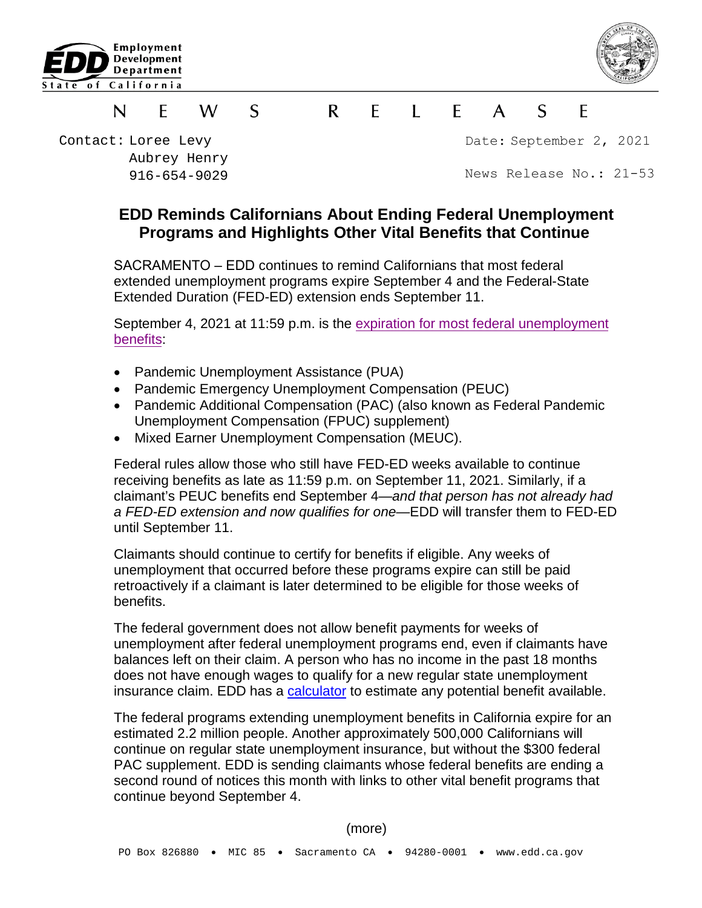



#### $\blacksquare$   $\blacksquare$   $\blacksquare$  $\mathcal{S}$  $\mathsf{R}$  $F$  $\mathsf{A}$  $\mathcal{S}$ F N F W

Contact: Loree Levy Aubrey Henry 916-654-9029 Date: September 2, 2021

News Release No.: 21-53

# **EDD Reminds Californians About Ending Federal Unemployment Programs and Highlights Other Vital Benefits that Continue**

SACRAMENTO – EDD continues to remind Californians that most federal extended unemployment programs expire September 4 and the Federal-State Extended Duration (FED-ED) extension ends September 11.

September 4, 2021 at 11:59 p.m. is the [expiration for most federal](https://edd.ca.gov/about_edd/coronavirus-2019/cares-act.htm) unemployment [benefits:](https://edd.ca.gov/about_edd/coronavirus-2019/cares-act.htm)

- Pandemic Unemployment Assistance (PUA)
- Pandemic Emergency Unemployment Compensation (PEUC)
- Pandemic Additional Compensation (PAC) (also known as Federal Pandemic Unemployment Compensation (FPUC) supplement)
- Mixed Earner Unemployment Compensation (MEUC).

Federal rules allow those who still have FED-ED weeks available to continue receiving benefits as late as 11:59 p.m. on September 11, 2021. Similarly, if a claimant's PEUC benefits end September 4—*and that person has not already had a FED-ED extension and now qualifies for one*—EDD will transfer them to FED-ED until September 11.

Claimants should continue to certify for benefits if eligible. Any weeks of unemployment that occurred before these programs expire can still be paid retroactively if a claimant is later determined to be eligible for those weeks of benefits.

The federal government does not allow benefit payments for weeks of unemployment after federal unemployment programs end, even if claimants have balances left on their claim. A person who has no income in the past 18 months does not have enough wages to qualify for a new regular state unemployment insurance claim. EDD has a [calculator](https://edd.ca.gov/Unemployment/UI-Calculator.htm) to estimate any potential benefit available.

The federal programs extending unemployment benefits in California expire for an estimated 2.2 million people. Another approximately 500,000 Californians will continue on regular state unemployment insurance, but without the \$300 federal PAC supplement. EDD is sending claimants whose federal benefits are ending a second round of notices this month with links to other vital benefit programs that continue beyond September 4.

(more)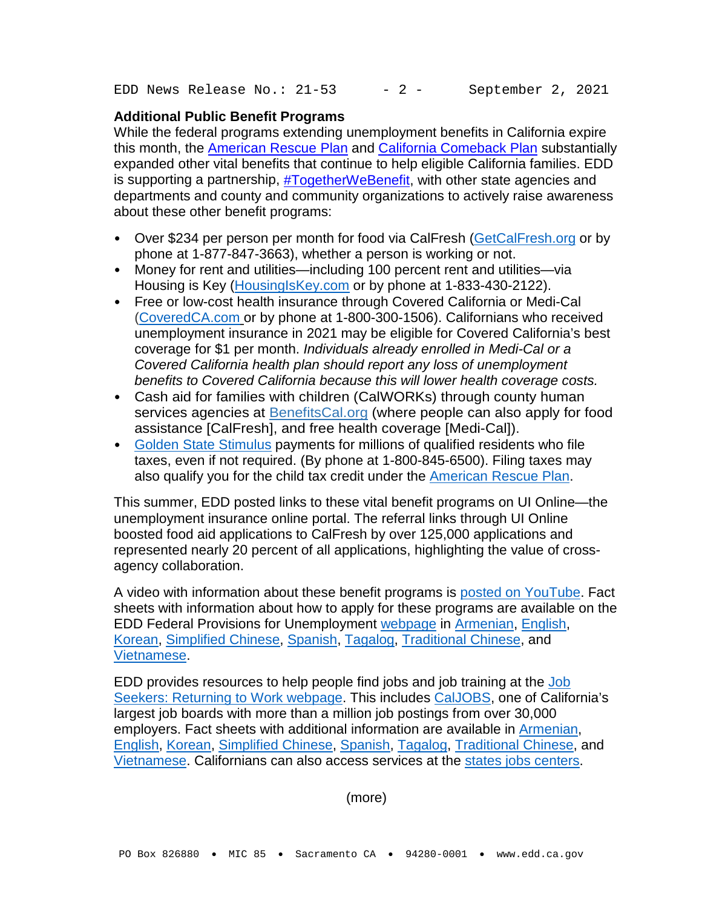EDD News Release No.:  $21-53$  - 2 - September 2, 2021

## **Additional Public Benefit Programs**

While the federal programs extending unemployment benefits in California expire this month, the [American Rescue Plan](https://www.whitehouse.gov/american-rescue-plan/) and [California Comeback Plan](https://www.gov.ca.gov/wp-content/uploads/2021/05/Economic-Recovery-Package-Factsheet.pdf) substantially expanded other vital benefits that continue to help eligible California families. EDD is supporting a partnership, [#TogetherWeBenefit,](https://edd.ca.gov/About_EDD/pdf/news-21-49.pdf) with other state agencies and departments and county and community organizations to actively raise awareness about these other benefit programs:

- Over \$234 per person per month for food via CalFresh [\(GetCalFresh.org](https://www.getcalfresh.org/?source=cdss) or by phone at 1-877-847-3663), whether a person is working or not.
- Money for rent and utilities—including 100 percent rent and utilities—via Housing is Key [\(HousingIsKey.com](https://housing.ca.gov/) or by phone at 1-833-430-2122).
- Free or low-cost health insurance through Covered California or Medi-Cal [\(CoveredCA.com](https://www.coveredca.com/) or by phone at 1-800-300-1506). Californians who received unemployment insurance in 2021 may be eligible for Covered California's best coverage for \$1 per month. *Individuals already enrolled in Medi-Cal or a Covered California health plan should report any loss of unemployment benefits to Covered California because this will lower health coverage costs.*
- Cash aid for families with children (CalWORKs) through county human services agencies at [BenefitsCal.org](https://benefitscal.org/) (where people can also apply for food assistance [CalFresh], and free health coverage [Medi-Cal]).
- [Golden State Stimulus](https://www.ftb.ca.gov/about-ftb/newsroom/golden-state-stimulus/help.html) payments for millions of qualified residents who file taxes, even if not required. (By phone at 1-800-845-6500). Filing taxes may also qualify you for the child tax credit under the [American Rescue Plan.](https://www.whitehouse.gov/child-tax-credit/)

This summer, EDD posted links to these vital benefit programs on UI Online—the unemployment insurance online portal. The referral links through UI Online boosted food aid applications to CalFresh by over 125,000 applications and represented nearly 20 percent of all applications, highlighting the value of crossagency collaboration.

A video with information about these benefit programs is [posted on YouTube.](https://www.youtube.com/watch?v=3MOwcMGFVaA&t=4s) Fact sheets with information about how to apply for these programs are available on the EDD Federal Provisions for Unemployment [webpage](https://edd.ca.gov/about_edd/coronavirus-2019/cares-act.htm) in [Armenian,](https://edd.ca.gov/about_edd/pdf/unemployment-benefits-end-armenian.pdf) [English,](https://edd.ca.gov/about_edd/pdf/unemployment-benefits-end.pdf) [Korean,](https://edd.ca.gov/about_edd/pdf/unemployment-benefits-end-korean.pdf) [Simplified Chinese,](https://edd.ca.gov/about_edd/pdf/unemployment-benefits-end-chinese-simplified.pdf) [Spanish,](https://edd.ca.gov/about_edd/pdf/unemployment-benefits-end-es.pdf) [Tagalog,](https://edd.ca.gov/about_edd/pdf/unemployment-benefits-end-tagalog.pdf) [Traditional Chinese,](https://edd.ca.gov/about_edd/pdf/unemployment-benefits-end-chinese-traditional.pdf) and [Vietnamese.](https://edd.ca.gov/about_edd/pdf/unemployment-benefits-end-vietnamese.pdf)

EDD provides resources to help people find jobs and job training at the [Job](https://edd.ca.gov/unemployment/return-to-work.htm)  [Seekers: Returning to Work webpage.](https://edd.ca.gov/unemployment/return-to-work.htm) This includes [CalJOBS,](https://edd.ca.gov/jobs_and_training/Caljobs.htm) one of California's largest job boards with more than a million job postings from over 30,000 employers. Fact sheets with additional information are available in [Armenian,](https://edd.ca.gov/unemployment/pdf/returning-to-work-fact-sheet-armenian.pdf) [English,](https://edd.ca.gov/unemployment/pdf/returning-to-work-fact-sheet.pdf) [Korean,](https://edd.ca.gov/unemployment/pdf/returning-to-work-fact-sheet-korean.pdf) [Simplified Chinese,](https://edd.ca.gov/unemployment/pdf/returning-to-work-fact-sheet-chinese-simplified.pdf) [Spanish,](https://edd.ca.gov/unemployment/pdf/returning-to-work-fact-sheet-es.pdf) [Tagalog,](https://edd.ca.gov/unemployment/pdf/returning-to-work-fact-sheet-tagalog.pdf) [Traditional Chinese,](https://edd.ca.gov/unemployment/pdf/returning-to-work-fact-sheet-chinese-traditional.pdf) and [Vietnamese.](https://edd.ca.gov/unemployment/pdf/returning-to-work-fact-sheet-vietnamese.pdf) Californians can also access services at the [states jobs centers.](https://edd.ca.gov/office_locator/)

(more)